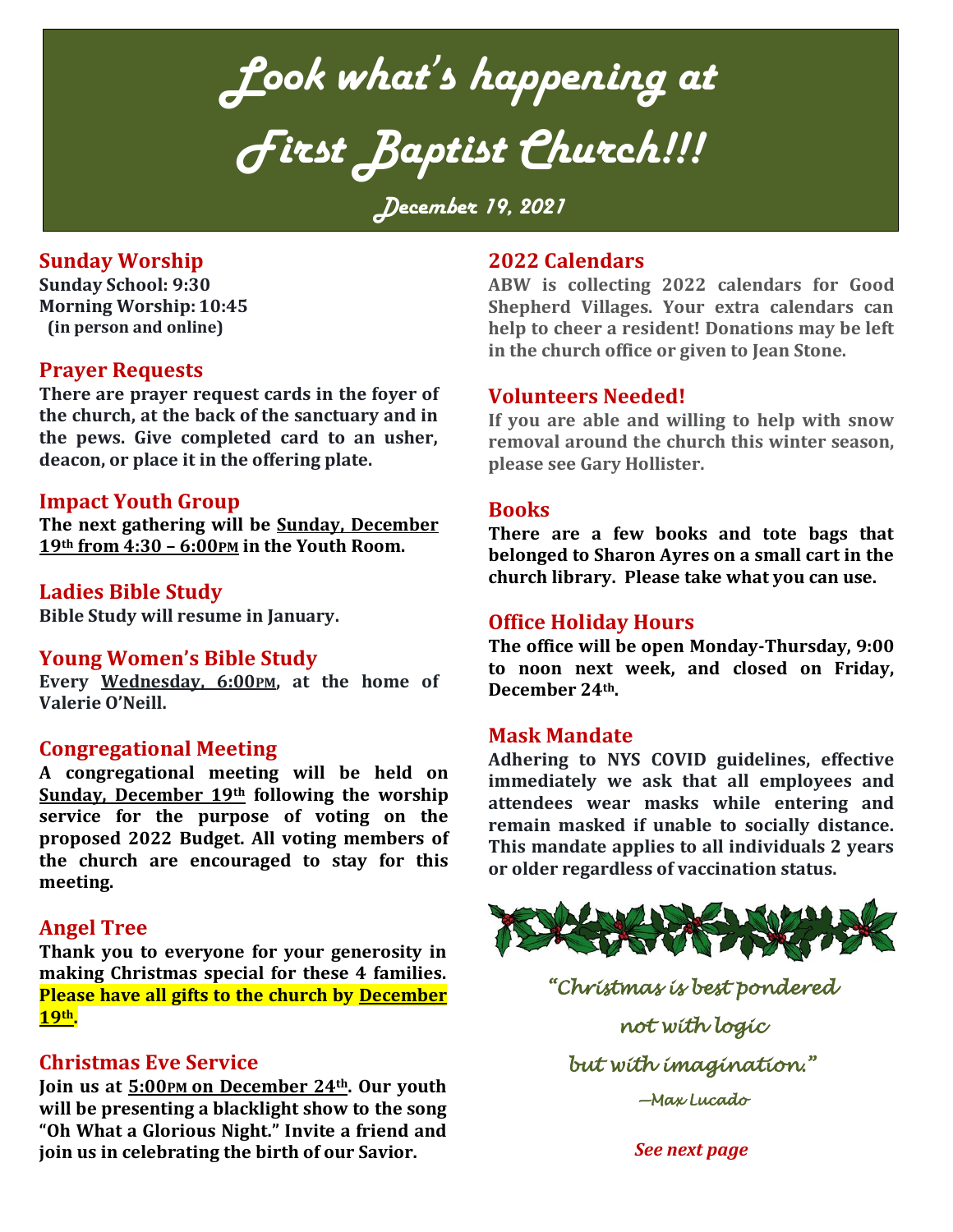*Look what's happening at First Baptist Church!!!*

*December 19, 2021*

## **Sunday Worship**

**Sunday School: 9:30 Morning Worship: 10:45 (in person and online)**

#### **Prayer Requests**

**There are prayer request cards in the foyer of the church, at the back of the sanctuary and in the pews. Give completed card to an usher, deacon, or place it in the offering plate.**

#### **Impact Youth Group**

**The next gathering will be Sunday, December 19th from 4:30 – 6:00PM in the Youth Room.** 

#### **Ladies Bible Study**

**Bible Study will resume in January.** 

#### **Young Women's Bible Study**

**Every Wednesday, 6:00PM, at the home of Valerie O'Neill.**

## **Congregational Meeting**

**A congregational meeting will be held on Sunday, December 19th following the worship service for the purpose of voting on the proposed 2022 Budget. All voting members of the church are encouraged to stay for this meeting.**

#### **Angel Tree**

**Thank you to everyone for your generosity in making Christmas special for these 4 families. Please have all gifts to the church by December 19th.**

## **Christmas Eve Service**

**Join us at 5:00PM on December 24th. Our youth will be presenting a blacklight show to the song "Oh What a Glorious Night." Invite a friend and join us in celebrating the birth of our Savior.**

### **2022 Calendars**

**ABW is collecting 2022 calendars for Good Shepherd Villages. Your extra calendars can help to cheer a resident! Donations may be left in the church office or given to Jean Stone.** 

## **Volunteers Needed!**

**If you are able and willing to help with snow removal around the church this winter season, please see Gary Hollister.**

#### **Books**

**There are a few books and tote bags that belonged to Sharon Ayres on a small cart in the church library. Please take what you can use.** 

#### **Office Holiday Hours**

**The office will be open Monday-Thursday, 9:00 to noon next week, and closed on Friday, December 24th.**

#### **Mask Mandate**

**Adhering to NYS COVID guidelines, effective immediately we ask that all employees and attendees wear masks while entering and remain masked if unable to socially distance. This mandate applies to all individuals 2 years or older regardless of vaccination status.**



*"Christmas is best pondered not with logic but with imagination." —Max Lucado* 

*See next page*